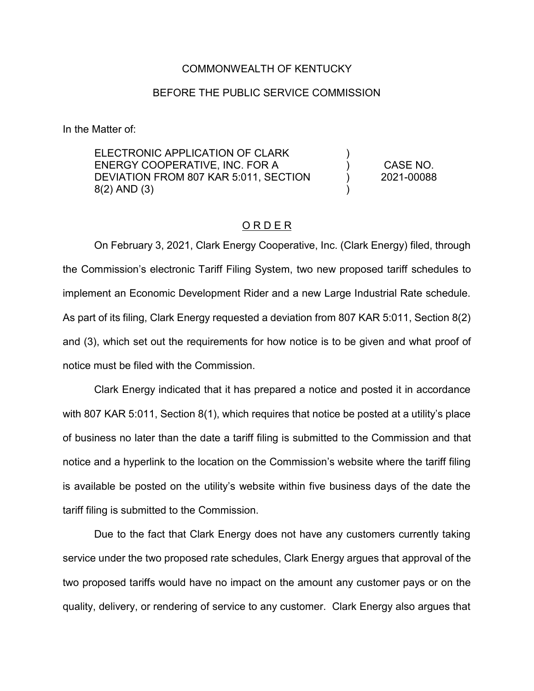## COMMONWEALTH OF KENTUCKY

## BEFORE THE PUBLIC SERVICE COMMISSION

In the Matter of:

ELECTRONIC APPLICATION OF CLARK ENERGY COOPERATIVE, INC. FOR A DEVIATION FROM 807 KAR 5:011, SECTION 8(2) AND (3) ) ) ) ) CASE NO. 2021-00088

## O R D E R

On February 3, 2021, Clark Energy Cooperative, Inc. (Clark Energy) filed, through the Commission's electronic Tariff Filing System, two new proposed tariff schedules to implement an Economic Development Rider and a new Large Industrial Rate schedule. As part of its filing, Clark Energy requested a deviation from 807 KAR 5:011, Section 8(2) and (3), which set out the requirements for how notice is to be given and what proof of notice must be filed with the Commission.

Clark Energy indicated that it has prepared a notice and posted it in accordance with 807 KAR 5:011, Section 8(1), which requires that notice be posted at a utility's place of business no later than the date a tariff filing is submitted to the Commission and that notice and a hyperlink to the location on the Commission's website where the tariff filing is available be posted on the utility's website within five business days of the date the tariff filing is submitted to the Commission.

Due to the fact that Clark Energy does not have any customers currently taking service under the two proposed rate schedules, Clark Energy argues that approval of the two proposed tariffs would have no impact on the amount any customer pays or on the quality, delivery, or rendering of service to any customer. Clark Energy also argues that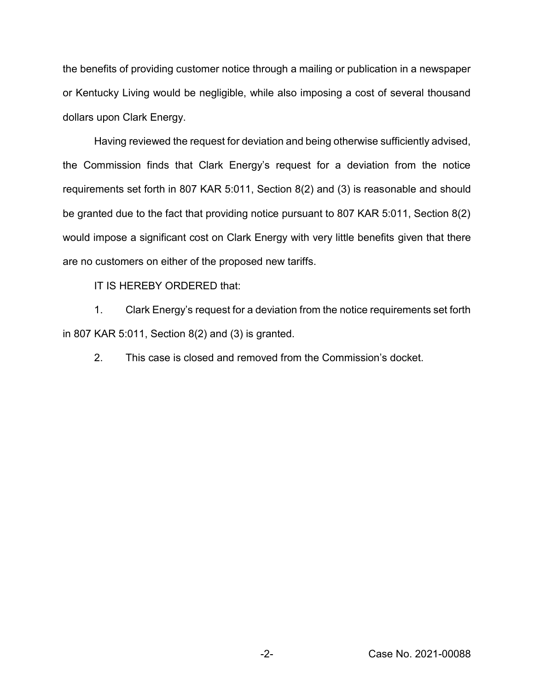the benefits of providing customer notice through a mailing or publication in a newspaper or Kentucky Living would be negligible, while also imposing a cost of several thousand dollars upon Clark Energy.

Having reviewed the request for deviation and being otherwise sufficiently advised, the Commission finds that Clark Energy's request for a deviation from the notice requirements set forth in 807 KAR 5:011, Section 8(2) and (3) is reasonable and should be granted due to the fact that providing notice pursuant to 807 KAR 5:011, Section 8(2) would impose a significant cost on Clark Energy with very little benefits given that there are no customers on either of the proposed new tariffs.

IT IS HEREBY ORDERED that:

1. Clark Energy's request for a deviation from the notice requirements set forth in 807 KAR 5:011, Section 8(2) and (3) is granted.

2. This case is closed and removed from the Commission's docket.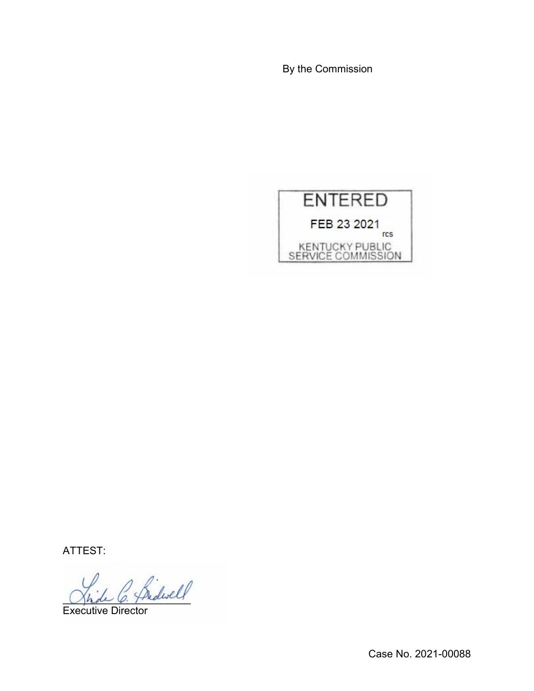By the Commission



ATTEST:

 $\overleftrightarrow{\text{Predwell}}$ 

Executive Director

Case No. 2021-00088